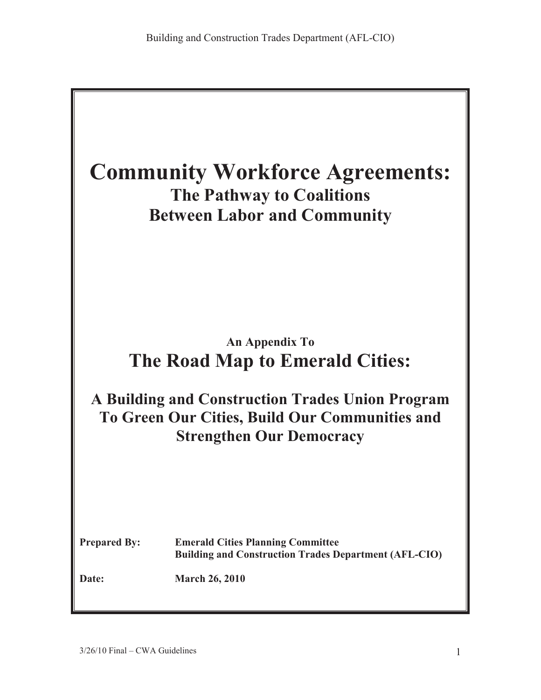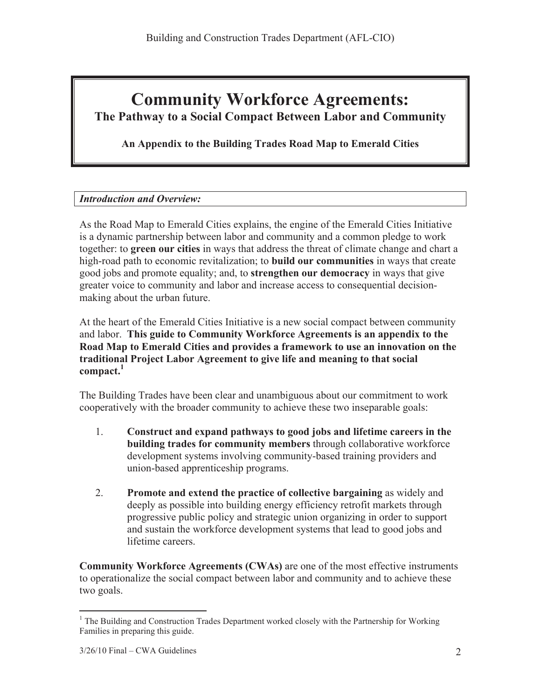# **Community Workforce Agreements: The Pathway to a Social Compact Between Labor and Community**

**An Appendix to the Building Trades Road Map to Emerald Cities**

# *Introduction and Overview:*

As the Road Map to Emerald Cities explains, the engine of the Emerald Cities Initiative is a dynamic partnership between labor and community and a common pledge to work together: to **green our cities** in ways that address the threat of climate change and chart a high-road path to economic revitalization; to **build our communities** in ways that create good jobs and promote equality; and, to **strengthen our democracy** in ways that give greater voice to community and labor and increase access to consequential decisionmaking about the urban future.

At the heart of the Emerald Cities Initiative is a new social compact between community and labor. **This guide to Community Workforce Agreements is an appendix to the Road Map to Emerald Cities and provides a framework to use an innovation on the traditional Project Labor Agreement to give life and meaning to that social compact.<sup>1</sup>**

The Building Trades have been clear and unambiguous about our commitment to work cooperatively with the broader community to achieve these two inseparable goals:

- 1. **Construct and expand pathways to good jobs and lifetime careers in the building trades for community members** through collaborative workforce development systems involving community-based training providers and union-based apprenticeship programs.
- 2. **Promote and extend the practice of collective bargaining** as widely and deeply as possible into building energy efficiency retrofit markets through progressive public policy and strategic union organizing in order to support and sustain the workforce development systems that lead to good jobs and lifetime careers.

**Community Workforce Agreements (CWAs)** are one of the most effective instruments to operationalize the social compact between labor and community and to achieve these two goals.

 $\overline{a}$  $1$  The Building and Construction Trades Department worked closely with the Partnership for Working Families in preparing this guide.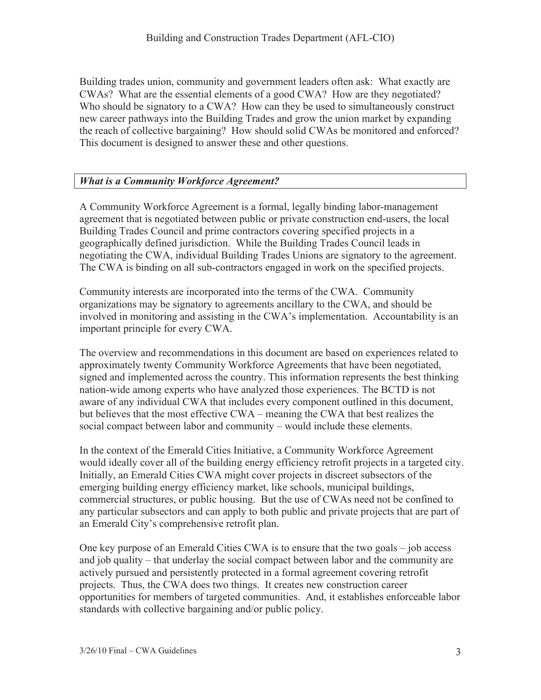Building trades union, community and government leaders often ask: What exactly are CWAs? What are the essential elements of a good CWA? How are they negotiated? Who should be signatory to a CWA? How can they be used to simultaneously construct new career pathways into the Building Trades and grow the union market by expanding the reach of collective bargaining? How should solid CWAs be monitored and enforced? This document is designed to answer these and other questions.

### *What is a Community Workforce Agreement?*

A Community Workforce Agreement is a formal, legally binding labor-management agreement that is negotiated between public or private construction end-users, the local Building Trades Council and prime contractors covering specified projects in a geographically defined jurisdiction. While the Building Trades Council leads in negotiating the CWA, individual Building Trades Unions are signatory to the agreement. The CWA is binding on all sub-contractors engaged in work on the specified projects.

Community interests are incorporated into the terms of the CWA. Community organizations may be signatory to agreements ancillary to the CWA, and should be involved in monitoring and assisting in the CWA's implementation. Accountability is an important principle for every CWA.

The overview and recommendations in this document are based on experiences related to approximately twenty Community Workforce Agreements that have been negotiated, signed and implemented across the country. This information represents the best thinking nation-wide among experts who have analyzed those experiences. The BCTD is not aware of any individual CWA that includes every component outlined in this document, but believes that the most effective CWA – meaning the CWA that best realizes the social compact between labor and community – would include these elements.

In the context of the Emerald Cities Initiative, a Community Workforce Agreement would ideally cover all of the building energy efficiency retrofit projects in a targeted city. Initially, an Emerald Cities CWA might cover projects in discreet subsectors of the emerging building energy efficiency market, like schools, municipal buildings, commercial structures, or public housing. But the use of CWAs need not be confined to any particular subsectors and can apply to both public and private projects that are part of an Emerald City's comprehensive retrofit plan.

One key purpose of an Emerald Cities CWA is to ensure that the two goals – job access and job quality – that underlay the social compact between labor and the community are actively pursued and persistently protected in a formal agreement covering retrofit projects. Thus, the CWA does two things. It creates new construction career opportunities for members of targeted communities. And, it establishes enforceable labor standards with collective bargaining and/or public policy.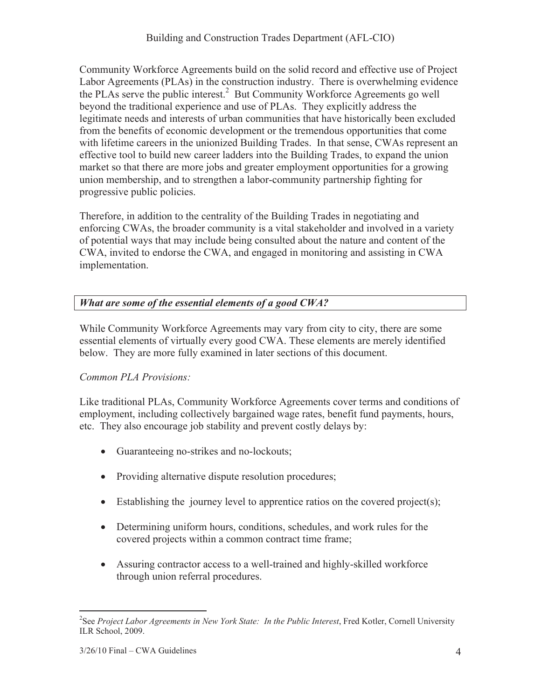Community Workforce Agreements build on the solid record and effective use of Project Labor Agreements (PLAs) in the construction industry. There is overwhelming evidence the PLAs serve the public interest.<sup>2</sup> But Community Workforce Agreements go well beyond the traditional experience and use of PLAs. They explicitly address the legitimate needs and interests of urban communities that have historically been excluded from the benefits of economic development or the tremendous opportunities that come with lifetime careers in the unionized Building Trades. In that sense, CWAs represent an effective tool to build new career ladders into the Building Trades, to expand the union market so that there are more jobs and greater employment opportunities for a growing union membership, and to strengthen a labor-community partnership fighting for progressive public policies.

Therefore, in addition to the centrality of the Building Trades in negotiating and enforcing CWAs, the broader community is a vital stakeholder and involved in a variety of potential ways that may include being consulted about the nature and content of the CWA, invited to endorse the CWA, and engaged in monitoring and assisting in CWA implementation.

# *What are some of the essential elements of a good CWA?*

While Community Workforce Agreements may vary from city to city, there are some essential elements of virtually every good CWA. These elements are merely identified below. They are more fully examined in later sections of this document.

# *Common PLA Provisions:*

Like traditional PLAs, Community Workforce Agreements cover terms and conditions of employment, including collectively bargained wage rates, benefit fund payments, hours, etc. They also encourage job stability and prevent costly delays by:

- Guaranteeing no-strikes and no-lockouts;
- Providing alternative dispute resolution procedures;
- Establishing the journey level to apprentice ratios on the covered project(s);
- Determining uniform hours, conditions, schedules, and work rules for the covered projects within a common contract time frame;
- Assuring contractor access to a well-trained and highly-skilled workforce through union referral procedures.

<sup>&</sup>lt;sup>2</sup><br><sup>2</sup> See *Project Labor Agreements in New York State: In the Public Interest*, Fred Kotler, Cornell University ILR School, 2009.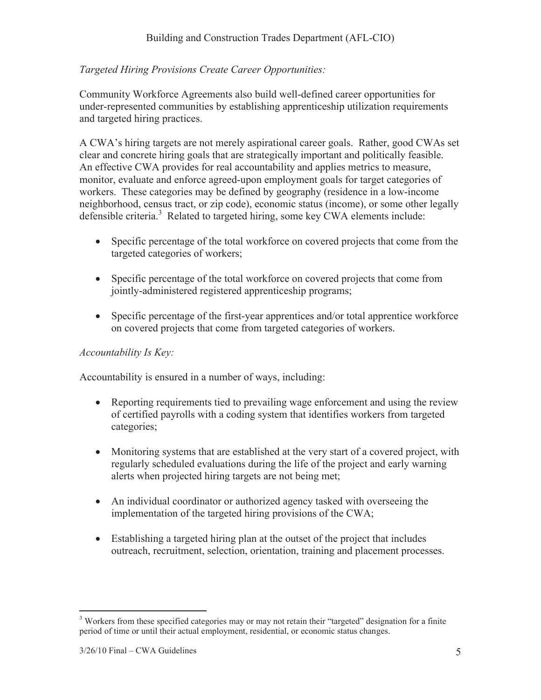# *Targeted Hiring Provisions Create Career Opportunities:*

Community Workforce Agreements also build well-defined career opportunities for under-represented communities by establishing apprenticeship utilization requirements and targeted hiring practices.

A CWA's hiring targets are not merely aspirational career goals. Rather, good CWAs set clear and concrete hiring goals that are strategically important and politically feasible. An effective CWA provides for real accountability and applies metrics to measure, monitor, evaluate and enforce agreed-upon employment goals for target categories of workers. These categories may be defined by geography (residence in a low-income neighborhood, census tract, or zip code), economic status (income), or some other legally defensible criteria.<sup>3</sup> Related to targeted hiring, some key CWA elements include:

- Specific percentage of the total workforce on covered projects that come from the targeted categories of workers;
- Specific percentage of the total workforce on covered projects that come from jointly-administered registered apprenticeship programs;
- Specific percentage of the first-year apprentices and/or total apprentice workforce on covered projects that come from targeted categories of workers.

#### *Accountability Is Key:*

Accountability is ensured in a number of ways, including:

- Reporting requirements tied to prevailing wage enforcement and using the review of certified payrolls with a coding system that identifies workers from targeted categories;
- Monitoring systems that are established at the very start of a covered project, with regularly scheduled evaluations during the life of the project and early warning alerts when projected hiring targets are not being met;
- An individual coordinator or authorized agency tasked with overseeing the implementation of the targeted hiring provisions of the CWA;
- Establishing a targeted hiring plan at the outset of the project that includes outreach, recruitment, selection, orientation, training and placement processes.

 $\overline{a}$  $3$  Workers from these specified categories may or may not retain their "targeted" designation for a finite period of time or until their actual employment, residential, or economic status changes.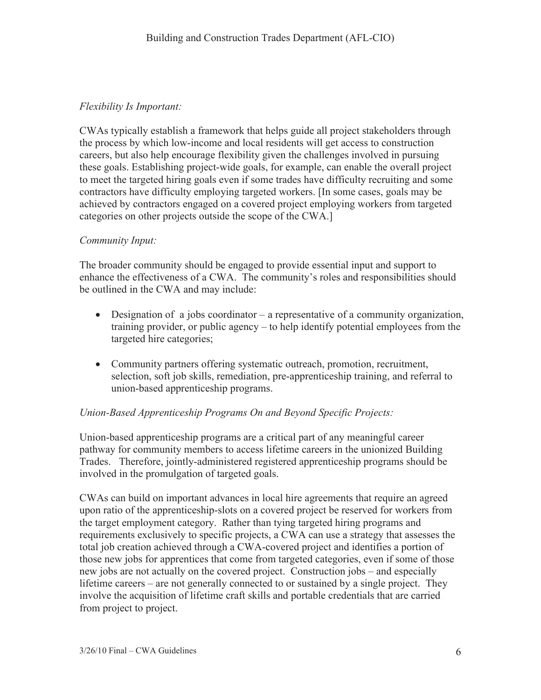### *Flexibility Is Important:*

CWAs typically establish a framework that helps guide all project stakeholders through the process by which low-income and local residents will get access to construction careers, but also help encourage flexibility given the challenges involved in pursuing these goals. Establishing project-wide goals, for example, can enable the overall project to meet the targeted hiring goals even if some trades have difficulty recruiting and some contractors have difficulty employing targeted workers. [In some cases, goals may be achieved by contractors engaged on a covered project employing workers from targeted categories on other projects outside the scope of the CWA.]

#### *Community Input:*

The broader community should be engaged to provide essential input and support to enhance the effectiveness of a CWA. The community's roles and responsibilities should be outlined in the CWA and may include:

- $\bullet$  Designation of a jobs coordinator a representative of a community organization, training provider, or public agency – to help identify potential employees from the targeted hire categories;
- Community partners offering systematic outreach, promotion, recruitment, selection, soft job skills, remediation, pre-apprenticeship training, and referral to union-based apprenticeship programs.

#### *Union-Based Apprenticeship Programs On and Beyond Specific Projects:*

Union-based apprenticeship programs are a critical part of any meaningful career pathway for community members to access lifetime careers in the unionized Building Trades. Therefore, jointly-administered registered apprenticeship programs should be involved in the promulgation of targeted goals.

CWAs can build on important advances in local hire agreements that require an agreed upon ratio of the apprenticeship-slots on a covered project be reserved for workers from the target employment category. Rather than tying targeted hiring programs and requirements exclusively to specific projects, a CWA can use a strategy that assesses the total job creation achieved through a CWA-covered project and identifies a portion of those new jobs for apprentices that come from targeted categories, even if some of those new jobs are not actually on the covered project. Construction jobs – and especially lifetime careers – are not generally connected to or sustained by a single project. They involve the acquisition of lifetime craft skills and portable credentials that are carried from project to project.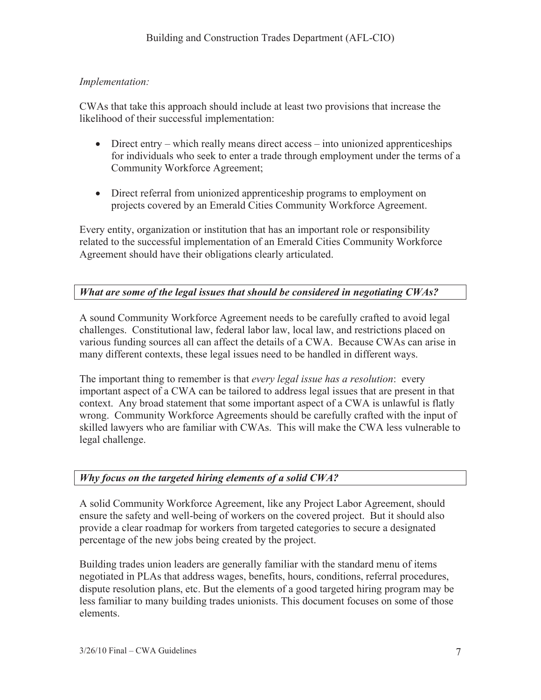# *Implementation:*

CWAs that take this approach should include at least two provisions that increase the likelihood of their successful implementation:

- $\bullet$  Direct entry which really means direct access into unionized apprenticeships for individuals who seek to enter a trade through employment under the terms of a Community Workforce Agreement;
- Direct referral from unionized apprenticeship programs to employment on projects covered by an Emerald Cities Community Workforce Agreement.

Every entity, organization or institution that has an important role or responsibility related to the successful implementation of an Emerald Cities Community Workforce Agreement should have their obligations clearly articulated.

# *What are some of the legal issues that should be considered in negotiating CWAs?*

A sound Community Workforce Agreement needs to be carefully crafted to avoid legal challenges. Constitutional law, federal labor law, local law, and restrictions placed on various funding sources all can affect the details of a CWA. Because CWAs can arise in many different contexts, these legal issues need to be handled in different ways.

The important thing to remember is that *every legal issue has a resolution*: every important aspect of a CWA can be tailored to address legal issues that are present in that context. Any broad statement that some important aspect of a CWA is unlawful is flatly wrong. Community Workforce Agreements should be carefully crafted with the input of skilled lawyers who are familiar with CWAs. This will make the CWA less vulnerable to legal challenge.

# *Why focus on the targeted hiring elements of a solid CWA?*

A solid Community Workforce Agreement, like any Project Labor Agreement, should ensure the safety and well-being of workers on the covered project. But it should also provide a clear roadmap for workers from targeted categories to secure a designated percentage of the new jobs being created by the project.

Building trades union leaders are generally familiar with the standard menu of items negotiated in PLAs that address wages, benefits, hours, conditions, referral procedures, dispute resolution plans, etc. But the elements of a good targeted hiring program may be less familiar to many building trades unionists. This document focuses on some of those elements.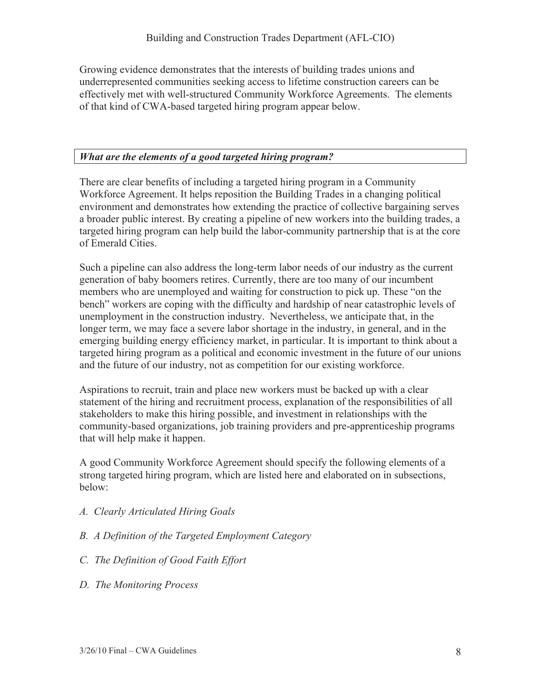Growing evidence demonstrates that the interests of building trades unions and underrepresented communities seeking access to lifetime construction careers can be effectively met with well-structured Community Workforce Agreements. The elements of that kind of CWA-based targeted hiring program appear below.

#### *What are the elements of a good targeted hiring program?*

There are clear benefits of including a targeted hiring program in a Community Workforce Agreement. It helps reposition the Building Trades in a changing political environment and demonstrates how extending the practice of collective bargaining serves a broader public interest. By creating a pipeline of new workers into the building trades, a targeted hiring program can help build the labor-community partnership that is at the core of Emerald Cities.

Such a pipeline can also address the long-term labor needs of our industry as the current generation of baby boomers retires. Currently, there are too many of our incumbent members who are unemployed and waiting for construction to pick up. These "on the bench" workers are coping with the difficulty and hardship of near catastrophic levels of unemployment in the construction industry. Nevertheless, we anticipate that, in the longer term, we may face a severe labor shortage in the industry, in general, and in the emerging building energy efficiency market, in particular. It is important to think about a targeted hiring program as a political and economic investment in the future of our unions and the future of our industry, not as competition for our existing workforce.

Aspirations to recruit, train and place new workers must be backed up with a clear statement of the hiring and recruitment process, explanation of the responsibilities of all stakeholders to make this hiring possible, and investment in relationships with the community-based organizations, job training providers and pre-apprenticeship programs that will help make it happen.

A good Community Workforce Agreement should specify the following elements of a strong targeted hiring program, which are listed here and elaborated on in subsections, below:

- *A. Clearly Articulated Hiring Goals*
- *B. A Definition of the Targeted Employment Category*
- *C. The Definition of Good Faith Effort*
- *D. The Monitoring Process*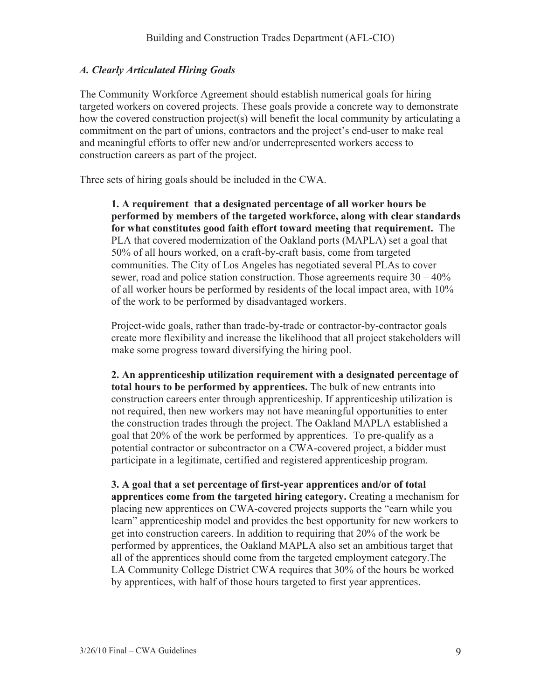#### *A. Clearly Articulated Hiring Goals*

The Community Workforce Agreement should establish numerical goals for hiring targeted workers on covered projects. These goals provide a concrete way to demonstrate how the covered construction project(s) will benefit the local community by articulating a commitment on the part of unions, contractors and the project's end-user to make real and meaningful efforts to offer new and/or underrepresented workers access to construction careers as part of the project.

Three sets of hiring goals should be included in the CWA.

**1. A requirement that a designated percentage of all worker hours be performed by members of the targeted workforce, along with clear standards for what constitutes good faith effort toward meeting that requirement.** The PLA that covered modernization of the Oakland ports (MAPLA) set a goal that 50% of all hours worked, on a craft-by-craft basis, come from targeted communities. The City of Los Angeles has negotiated several PLAs to cover sewer, road and police station construction. Those agreements require  $30 - 40\%$ of all worker hours be performed by residents of the local impact area, with 10% of the work to be performed by disadvantaged workers.

Project-wide goals, rather than trade-by-trade or contractor-by-contractor goals create more flexibility and increase the likelihood that all project stakeholders will make some progress toward diversifying the hiring pool.

**2. An apprenticeship utilization requirement with a designated percentage of total hours to be performed by apprentices.** The bulk of new entrants into construction careers enter through apprenticeship. If apprenticeship utilization is not required, then new workers may not have meaningful opportunities to enter the construction trades through the project. The Oakland MAPLA established a goal that 20% of the work be performed by apprentices. To pre-qualify as a potential contractor or subcontractor on a CWA-covered project, a bidder must participate in a legitimate, certified and registered apprenticeship program.

**3. A goal that a set percentage of first-year apprentices and/or of total apprentices come from the targeted hiring category.** Creating a mechanism for placing new apprentices on CWA-covered projects supports the "earn while you learn" apprenticeship model and provides the best opportunity for new workers to get into construction careers. In addition to requiring that 20% of the work be performed by apprentices, the Oakland MAPLA also set an ambitious target that all of the apprentices should come from the targeted employment category.The LA Community College District CWA requires that 30% of the hours be worked by apprentices, with half of those hours targeted to first year apprentices.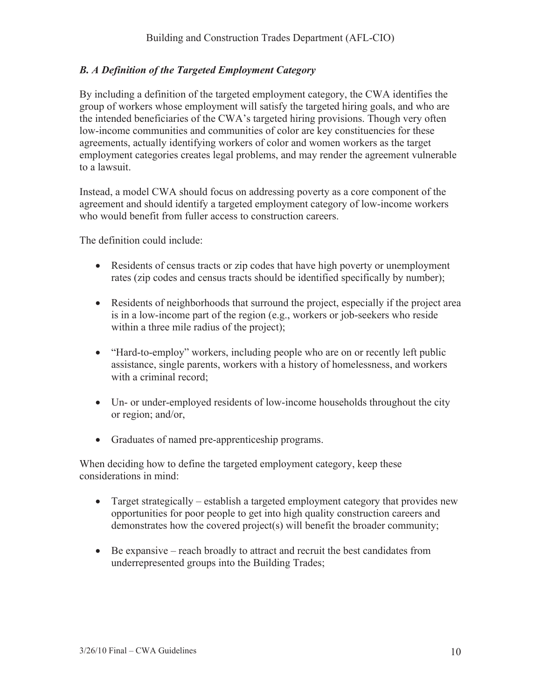# *B. A Definition of the Targeted Employment Category*

By including a definition of the targeted employment category, the CWA identifies the group of workers whose employment will satisfy the targeted hiring goals, and who are the intended beneficiaries of the CWA's targeted hiring provisions. Though very often low-income communities and communities of color are key constituencies for these agreements, actually identifying workers of color and women workers as the target employment categories creates legal problems, and may render the agreement vulnerable to a lawsuit.

Instead, a model CWA should focus on addressing poverty as a core component of the agreement and should identify a targeted employment category of low-income workers who would benefit from fuller access to construction careers.

The definition could include:

- Residents of census tracts or zip codes that have high poverty or unemployment rates (zip codes and census tracts should be identified specifically by number);
- $\bullet$  Residents of neighborhoods that surround the project, especially if the project area is in a low-income part of the region (e.g., workers or job-seekers who reside within a three mile radius of the project);
- "Hard-to-employ" workers, including people who are on or recently left public assistance, single parents, workers with a history of homelessness, and workers with a criminal record;
- Un- or under-employed residents of low-income households throughout the city or region; and/or,
- Graduates of named pre-apprenticeship programs.

When deciding how to define the targeted employment category, keep these considerations in mind:

- Target strategically establish a targeted employment category that provides new opportunities for poor people to get into high quality construction careers and demonstrates how the covered project(s) will benefit the broader community;
- $\bullet$  Be expansive reach broadly to attract and recruit the best candidates from underrepresented groups into the Building Trades;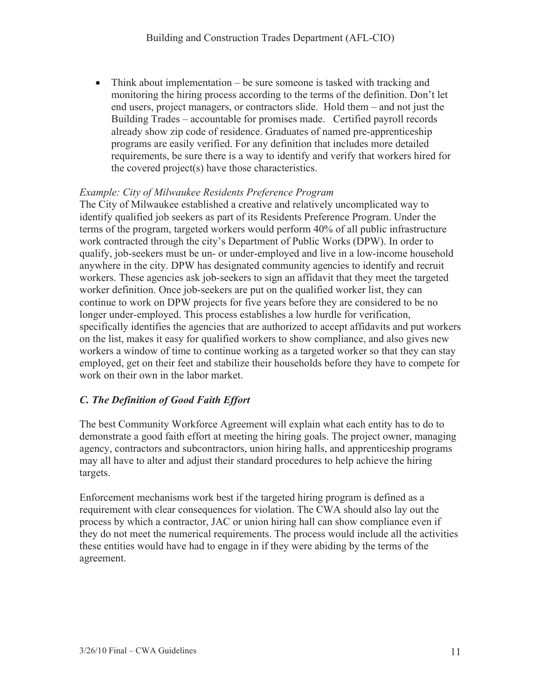• Think about implementation – be sure someone is tasked with tracking and monitoring the hiring process according to the terms of the definition. Don't let end users, project managers, or contractors slide. Hold them – and not just the Building Trades – accountable for promises made. Certified payroll records already show zip code of residence. Graduates of named pre-apprenticeship programs are easily verified. For any definition that includes more detailed requirements, be sure there is a way to identify and verify that workers hired for the covered project(s) have those characteristics.

#### *Example: City of Milwaukee Residents Preference Program*

The City of Milwaukee established a creative and relatively uncomplicated way to identify qualified job seekers as part of its Residents Preference Program. Under the terms of the program, targeted workers would perform 40% of all public infrastructure work contracted through the city's Department of Public Works (DPW). In order to qualify, job-seekers must be un- or under-employed and live in a low-income household anywhere in the city. DPW has designated community agencies to identify and recruit workers. These agencies ask job-seekers to sign an affidavit that they meet the targeted worker definition. Once job-seekers are put on the qualified worker list, they can continue to work on DPW projects for five years before they are considered to be no longer under-employed. This process establishes a low hurdle for verification, specifically identifies the agencies that are authorized to accept affidavits and put workers on the list, makes it easy for qualified workers to show compliance, and also gives new workers a window of time to continue working as a targeted worker so that they can stay employed, get on their feet and stabilize their households before they have to compete for work on their own in the labor market.

#### *C. The Definition of Good Faith Effort*

The best Community Workforce Agreement will explain what each entity has to do to demonstrate a good faith effort at meeting the hiring goals. The project owner, managing agency, contractors and subcontractors, union hiring halls, and apprenticeship programs may all have to alter and adjust their standard procedures to help achieve the hiring targets.

Enforcement mechanisms work best if the targeted hiring program is defined as a requirement with clear consequences for violation. The CWA should also lay out the process by which a contractor, JAC or union hiring hall can show compliance even if they do not meet the numerical requirements. The process would include all the activities these entities would have had to engage in if they were abiding by the terms of the agreement.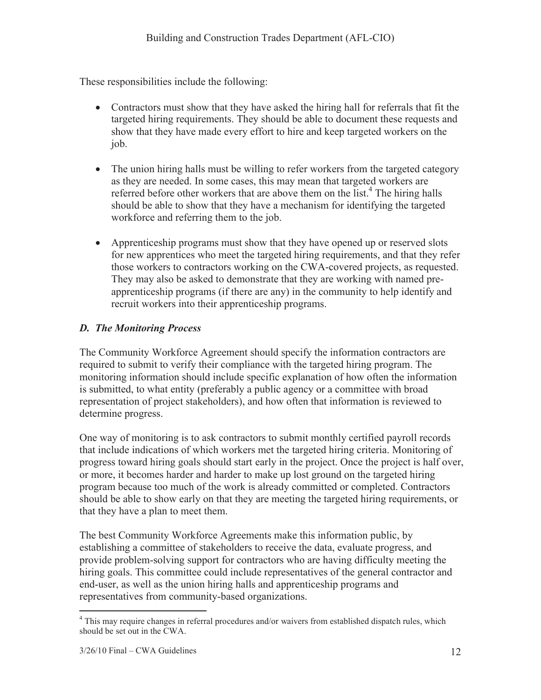These responsibilities include the following:

- Contractors must show that they have asked the hiring hall for referrals that fit the targeted hiring requirements. They should be able to document these requests and show that they have made every effort to hire and keep targeted workers on the job.
- The union hiring halls must be willing to refer workers from the targeted category as they are needed. In some cases, this may mean that targeted workers are referred before other workers that are above them on the list.<sup>4</sup> The hiring halls should be able to show that they have a mechanism for identifying the targeted workforce and referring them to the job.
- Apprenticeship programs must show that they have opened up or reserved slots for new apprentices who meet the targeted hiring requirements, and that they refer those workers to contractors working on the CWA-covered projects, as requested. They may also be asked to demonstrate that they are working with named preapprenticeship programs (if there are any) in the community to help identify and recruit workers into their apprenticeship programs.

# *D. The Monitoring Process*

The Community Workforce Agreement should specify the information contractors are required to submit to verify their compliance with the targeted hiring program. The monitoring information should include specific explanation of how often the information is submitted, to what entity (preferably a public agency or a committee with broad representation of project stakeholders), and how often that information is reviewed to determine progress.

One way of monitoring is to ask contractors to submit monthly certified payroll records that include indications of which workers met the targeted hiring criteria. Monitoring of progress toward hiring goals should start early in the project. Once the project is half over, or more, it becomes harder and harder to make up lost ground on the targeted hiring program because too much of the work is already committed or completed. Contractors should be able to show early on that they are meeting the targeted hiring requirements, or that they have a plan to meet them.

The best Community Workforce Agreements make this information public, by establishing a committee of stakeholders to receive the data, evaluate progress, and provide problem-solving support for contractors who are having difficulty meeting the hiring goals. This committee could include representatives of the general contractor and end-user, as well as the union hiring halls and apprenticeship programs and representatives from community-based organizations.

 $\overline{a}$ <sup>4</sup> This may require changes in referral procedures and/or waivers from established dispatch rules, which should be set out in the CWA.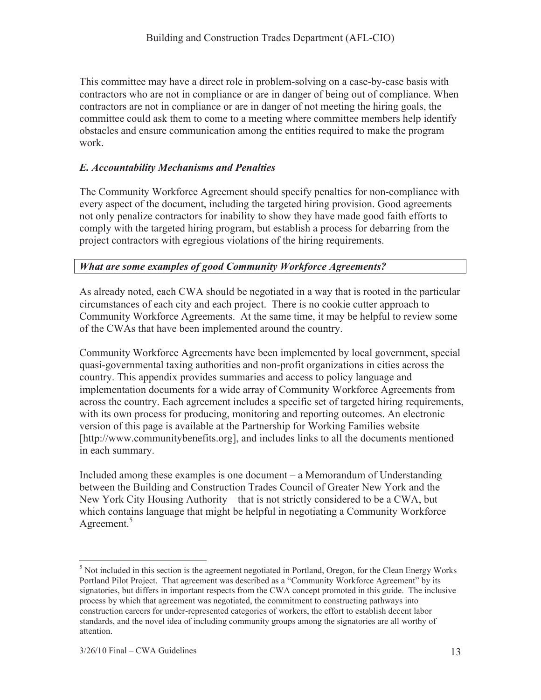This committee may have a direct role in problem-solving on a case-by-case basis with contractors who are not in compliance or are in danger of being out of compliance. When contractors are not in compliance or are in danger of not meeting the hiring goals, the committee could ask them to come to a meeting where committee members help identify obstacles and ensure communication among the entities required to make the program work.

# *E. Accountability Mechanisms and Penalties*

The Community Workforce Agreement should specify penalties for non-compliance with every aspect of the document, including the targeted hiring provision. Good agreements not only penalize contractors for inability to show they have made good faith efforts to comply with the targeted hiring program, but establish a process for debarring from the project contractors with egregious violations of the hiring requirements.

# *What are some examples of good Community Workforce Agreements?*

As already noted, each CWA should be negotiated in a way that is rooted in the particular circumstances of each city and each project. There is no cookie cutter approach to Community Workforce Agreements. At the same time, it may be helpful to review some of the CWAs that have been implemented around the country.

Community Workforce Agreements have been implemented by local government, special quasi-governmental taxing authorities and non-profit organizations in cities across the country. This appendix provides summaries and access to policy language and implementation documents for a wide array of Community Workforce Agreements from across the country. Each agreement includes a specific set of targeted hiring requirements, with its own process for producing, monitoring and reporting outcomes. An electronic version of this page is available at the Partnership for Working Families website [http://www.communitybenefits.org], and includes links to all the documents mentioned in each summary.

Included among these examples is one document – a Memorandum of Understanding between the Building and Construction Trades Council of Greater New York and the New York City Housing Authority – that is not strictly considered to be a CWA, but which contains language that might be helpful in negotiating a Community Workforce Agreement. $5$ 

 $\overline{a}$  $<sup>5</sup>$  Not included in this section is the agreement negotiated in Portland, Oregon, for the Clean Energy Works</sup> Portland Pilot Project. That agreement was described as a "Community Workforce Agreement" by its signatories, but differs in important respects from the CWA concept promoted in this guide. The inclusive process by which that agreement was negotiated, the commitment to constructing pathways into construction careers for under-represented categories of workers, the effort to establish decent labor standards, and the novel idea of including community groups among the signatories are all worthy of attention.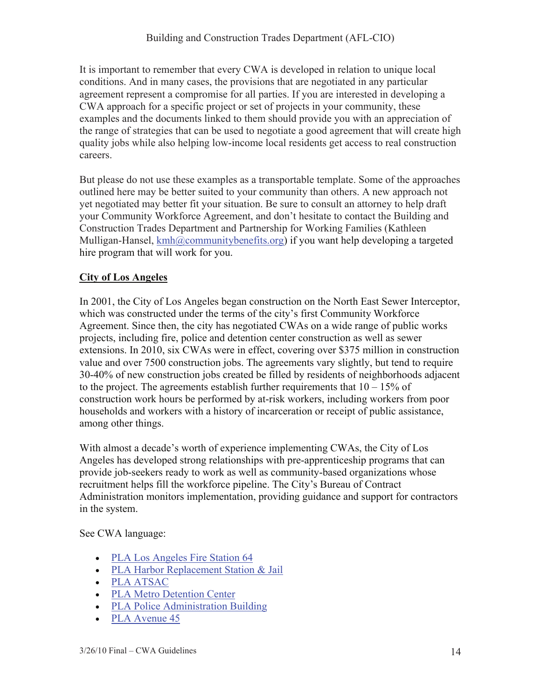It is important to remember that every CWA is developed in relation to unique local conditions. And in many cases, the provisions that are negotiated in any particular agreement represent a compromise for all parties. If you are interested in developing a CWA approach for a specific project or set of projects in your community, these examples and the documents linked to them should provide you with an appreciation of the range of strategies that can be used to negotiate a good agreement that will create high quality jobs while also helping low-income local residents get access to real construction careers.

But please do not use these examples as a transportable template. Some of the approaches outlined here may be better suited to your community than others. A new approach not yet negotiated may better fit your situation. Be sure to consult an attorney to help draft your Community Workforce Agreement, and don't hesitate to contact the Building and Construction Trades Department and Partnership for Working Families (Kathleen Mulligan-Hansel, kmh@communitybenefits.org) if you want help developing a targeted hire program that will work for you.

#### **City of Los Angeles**

In 2001, the City of Los Angeles began construction on the North East Sewer Interceptor, which was constructed under the terms of the city's first Community Workforce Agreement. Since then, the city has negotiated CWAs on a wide range of public works projects, including fire, police and detention center construction as well as sewer extensions. In 2010, six CWAs were in effect, covering over \$375 million in construction value and over 7500 construction jobs. The agreements vary slightly, but tend to require 30-40% of new construction jobs created be filled by residents of neighborhoods adjacent to the project. The agreements establish further requirements that  $10 - 15\%$  of construction work hours be performed by at-risk workers, including workers from poor households and workers with a history of incarceration or receipt of public assistance, among other things.

With almost a decade's worth of experience implementing CWAs, the City of Los Angeles has developed strong relationships with pre-apprenticeship programs that can provide job-seekers ready to work as well as community-based organizations whose recruitment helps fill the workforce pipeline. The City's Bureau of Contract Administration monitors implementation, providing guidance and support for contractors in the system.

#### See CWA language:

- PLA Los Angeles Fire Station 64
- PLA Harbor Replacement Station & Jail
- PLA ATSAC
- PLA Metro Detention Center
- PLA Police Administration Building
- $\n•$  PLA Avenue 45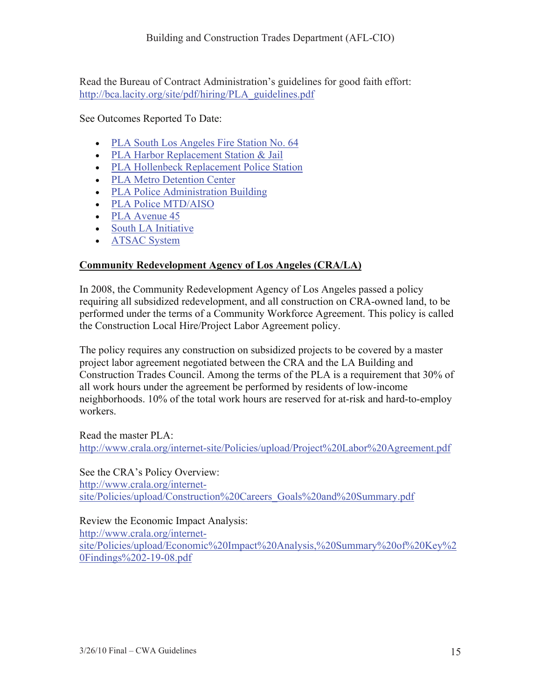Read the Bureau of Contract Administration's guidelines for good faith effort: http://bca.lacity.org/site/pdf/hiring/PLA\_guidelines.pdf

See Outcomes Reported To Date:

- PLA South Los Angeles Fire Station No. 64
- PLA Harbor Replacement Station & Jail
- PLA Hollenbeck Replacement Police Station
- PLA Metro Detention Center
- PLA Police Administration Building
- PLA Police MTD/AISO
- $\bullet$  PLA Avenue 45
- South LA Initiative
- ATSAC System

# **Community Redevelopment Agency of Los Angeles (CRA/LA)**

In 2008, the Community Redevelopment Agency of Los Angeles passed a policy requiring all subsidized redevelopment, and all construction on CRA-owned land, to be performed under the terms of a Community Workforce Agreement. This policy is called the Construction Local Hire/Project Labor Agreement policy.

The policy requires any construction on subsidized projects to be covered by a master project labor agreement negotiated between the CRA and the LA Building and Construction Trades Council. Among the terms of the PLA is a requirement that 30% of all work hours under the agreement be performed by residents of low-income neighborhoods. 10% of the total work hours are reserved for at-risk and hard-to-employ workers.

Read the master PLA: http://www.crala.org/internet-site/Policies/upload/Project%20Labor%20Agreement.pdf

See the CRA's Policy Overview:

http://www.crala.org/internetsite/Policies/upload/Construction%20Careers\_Goals%20and%20Summary.pdf

#### Review the Economic Impact Analysis:

http://www.crala.org/internetsite/Policies/upload/Economic%20Impact%20Analysis,%20Summary%20of%20Key%2 0Findings%202-19-08.pdf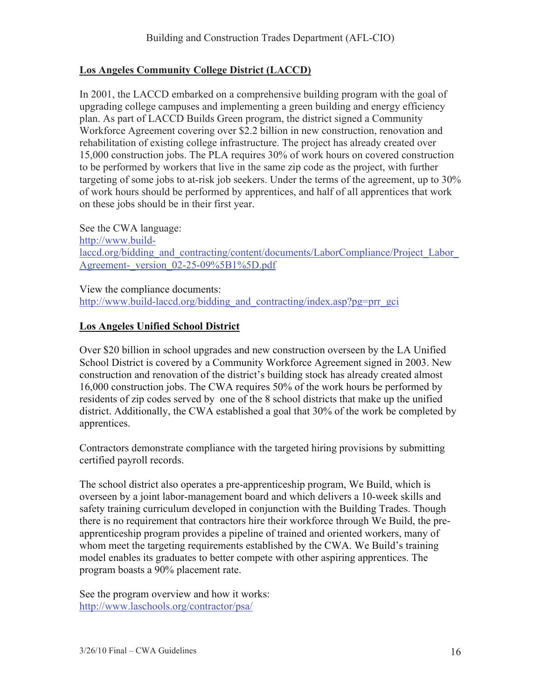#### **Los Angeles Community College District (LACCD)**

In 2001, the LACCD embarked on a comprehensive building program with the goal of upgrading college campuses and implementing a green building and energy efficiency plan. As part of LACCD Builds Green program, the district signed a Community Workforce Agreement covering over \$2.2 billion in new construction, renovation and rehabilitation of existing college infrastructure. The project has already created over 15,000 construction jobs. The PLA requires 30% of work hours on covered construction to be performed by workers that live in the same zip code as the project, with further targeting of some jobs to at-risk job seekers. Under the terms of the agreement, up to 30% of work hours should be performed by apprentices, and half of all apprentices that work on these jobs should be in their first year.

See the CWA language: http://www.buildlaccd.org/bidding\_and\_contracting/content/documents/LaborCompliance/Project\_Labor Agreement-\_version\_02-25-09%5B1%5D.pdf

View the compliance documents: http://www.build-laced.org/bidding\_and\_contracting/index.asp?pg=prr\_gci

#### **Los Angeles Unified School District**

Over \$20 billion in school upgrades and new construction overseen by the LA Unified School District is covered by a Community Workforce Agreement signed in 2003. New construction and renovation of the district's building stock has already created almost 16,000 construction jobs. The CWA requires 50% of the work hours be performed by residents of zip codes served by one of the 8 school districts that make up the unified district. Additionally, the CWA established a goal that 30% of the work be completed by apprentices.

Contractors demonstrate compliance with the targeted hiring provisions by submitting certified payroll records.

The school district also operates a pre-apprenticeship program, We Build, which is overseen by a joint labor-management board and which delivers a 10-week skills and safety training curriculum developed in conjunction with the Building Trades. Though there is no requirement that contractors hire their workforce through We Build, the preapprenticeship program provides a pipeline of trained and oriented workers, many of whom meet the targeting requirements established by the CWA. We Build's training model enables its graduates to better compete with other aspiring apprentices. The program boasts a 90% placement rate.

See the program overview and how it works: http://www.laschools.org/contractor/psa/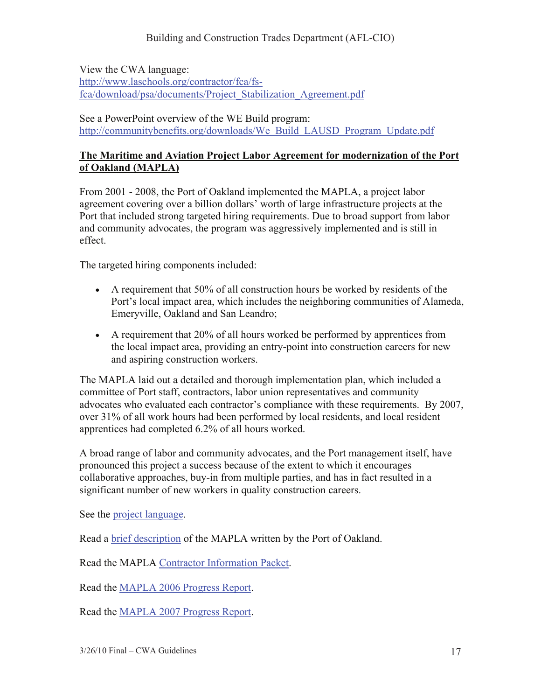View the CWA language:

http://www.laschools.org/contractor/fca/fsfca/download/psa/documents/Project\_Stabilization\_Agreement.pdf

See a PowerPoint overview of the WE Build program: http://communitybenefits.org/downloads/We\_Build\_LAUSD\_Program\_Update.pdf

#### **The Maritime and Aviation Project Labor Agreement for modernization of the Port of Oakland (MAPLA)**

From 2001 - 2008, the Port of Oakland implemented the MAPLA, a project labor agreement covering over a billion dollars' worth of large infrastructure projects at the Port that included strong targeted hiring requirements. Due to broad support from labor and community advocates, the program was aggressively implemented and is still in effect.

The targeted hiring components included:

- $\bullet$  A requirement that 50% of all construction hours be worked by residents of the Port's local impact area, which includes the neighboring communities of Alameda, Emeryville, Oakland and San Leandro;
- A requirement that 20% of all hours worked be performed by apprentices from the local impact area, providing an entry-point into construction careers for new and aspiring construction workers.

The MAPLA laid out a detailed and thorough implementation plan, which included a committee of Port staff, contractors, labor union representatives and community advocates who evaluated each contractor's compliance with these requirements. By 2007, over 31% of all work hours had been performed by local residents, and local resident apprentices had completed 6.2% of all hours worked.

A broad range of labor and community advocates, and the Port management itself, have pronounced this project a success because of the extent to which it encourages collaborative approaches, buy-in from multiple parties, and has in fact resulted in a significant number of new workers in quality construction careers.

See the project language.

Read a brief description of the MAPLA written by the Port of Oakland.

Read the MAPLA Contractor Information Packet.

Read the MAPLA 2006 Progress Report.

Read the MAPLA 2007 Progress Report.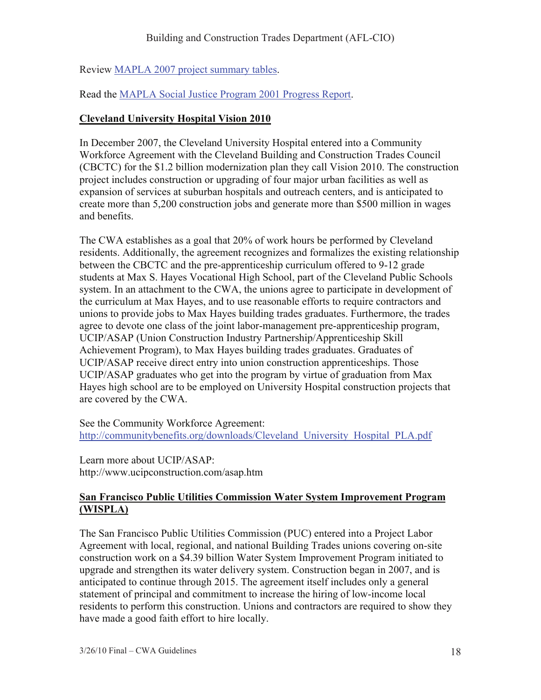Review MAPLA 2007 project summary tables.

Read the MAPLA Social Justice Program 2001 Progress Report.

# **Cleveland University Hospital Vision 2010**

In December 2007, the Cleveland University Hospital entered into a Community Workforce Agreement with the Cleveland Building and Construction Trades Council (CBCTC) for the \$1.2 billion modernization plan they call Vision 2010. The construction project includes construction or upgrading of four major urban facilities as well as expansion of services at suburban hospitals and outreach centers, and is anticipated to create more than 5,200 construction jobs and generate more than \$500 million in wages and benefits.

The CWA establishes as a goal that 20% of work hours be performed by Cleveland residents. Additionally, the agreement recognizes and formalizes the existing relationship between the CBCTC and the pre-apprenticeship curriculum offered to 9-12 grade students at Max S. Hayes Vocational High School, part of the Cleveland Public Schools system. In an attachment to the CWA, the unions agree to participate in development of the curriculum at Max Hayes, and to use reasonable efforts to require contractors and unions to provide jobs to Max Hayes building trades graduates. Furthermore, the trades agree to devote one class of the joint labor-management pre-apprenticeship program, UCIP/ASAP (Union Construction Industry Partnership/Apprenticeship Skill Achievement Program), to Max Hayes building trades graduates. Graduates of UCIP/ASAP receive direct entry into union construction apprenticeships. Those UCIP/ASAP graduates who get into the program by virtue of graduation from Max Hayes high school are to be employed on University Hospital construction projects that are covered by the CWA.

See the Community Workforce Agreement: http://communitybenefits.org/downloads/Cleveland\_University\_Hospital\_PLA.pdf

Learn more about UCIP/ASAP: http://www.ucipconstruction.com/asap.htm

#### **San Francisco Public Utilities Commission Water System Improvement Program (WISPLA)**

The San Francisco Public Utilities Commission (PUC) entered into a Project Labor Agreement with local, regional, and national Building Trades unions covering on-site construction work on a \$4.39 billion Water System Improvement Program initiated to upgrade and strengthen its water delivery system. Construction began in 2007, and is anticipated to continue through 2015. The agreement itself includes only a general statement of principal and commitment to increase the hiring of low-income local residents to perform this construction. Unions and contractors are required to show they have made a good faith effort to hire locally.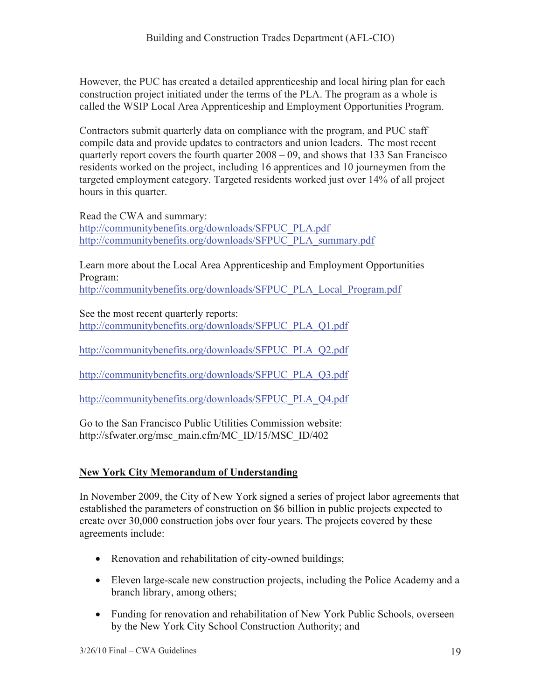However, the PUC has created a detailed apprenticeship and local hiring plan for each construction project initiated under the terms of the PLA. The program as a whole is called the WSIP Local Area Apprenticeship and Employment Opportunities Program.

Contractors submit quarterly data on compliance with the program, and PUC staff compile data and provide updates to contractors and union leaders. The most recent quarterly report covers the fourth quarter 2008 – 09, and shows that 133 San Francisco residents worked on the project, including 16 apprentices and 10 journeymen from the targeted employment category. Targeted residents worked just over 14% of all project hours in this quarter.

Read the CWA and summary: http://communitybenefits.org/downloads/SFPUC\_PLA.pdf http://communitybenefits.org/downloads/SFPUC\_PLA\_summary.pdf

Learn more about the Local Area Apprenticeship and Employment Opportunities Program:

http://communitybenefits.org/downloads/SFPUC\_PLA\_Local\_Program.pdf

See the most recent quarterly reports: http://communitybenefits.org/downloads/SFPUC\_PLA\_Q1.pdf

http://communitybenefits.org/downloads/SFPUC\_PLA\_Q2.pdf

http://communitybenefits.org/downloads/SFPUC\_PLA\_Q3.pdf

http://communitybenefits.org/downloads/SFPUC\_PLA\_Q4.pdf

Go to the San Francisco Public Utilities Commission website: http://sfwater.org/msc\_main.cfm/MC\_ID/15/MSC\_ID/402

# **New York City Memorandum of Understanding**

In November 2009, the City of New York signed a series of project labor agreements that established the parameters of construction on \$6 billion in public projects expected to create over 30,000 construction jobs over four years. The projects covered by these agreements include:

- Renovation and rehabilitation of city-owned buildings;
- Eleven large-scale new construction projects, including the Police Academy and a branch library, among others;
- Funding for renovation and rehabilitation of New York Public Schools, overseen by the New York City School Construction Authority; and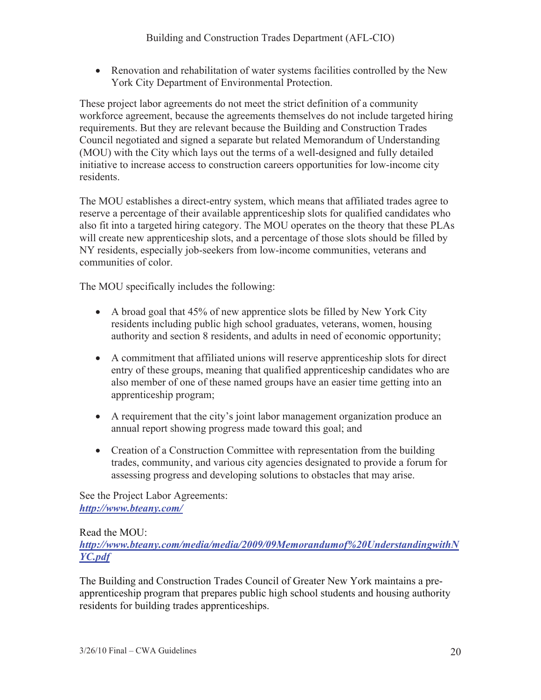• Renovation and rehabilitation of water systems facilities controlled by the New York City Department of Environmental Protection.

These project labor agreements do not meet the strict definition of a community workforce agreement, because the agreements themselves do not include targeted hiring requirements. But they are relevant because the Building and Construction Trades Council negotiated and signed a separate but related Memorandum of Understanding (MOU) with the City which lays out the terms of a well-designed and fully detailed initiative to increase access to construction careers opportunities for low-income city residents.

The MOU establishes a direct-entry system, which means that affiliated trades agree to reserve a percentage of their available apprenticeship slots for qualified candidates who also fit into a targeted hiring category. The MOU operates on the theory that these PLAs will create new apprenticeship slots, and a percentage of those slots should be filled by NY residents, especially job-seekers from low-income communities, veterans and communities of color.

The MOU specifically includes the following:

- $\bullet$  A broad goal that 45% of new apprentice slots be filled by New York City residents including public high school graduates, veterans, women, housing authority and section 8 residents, and adults in need of economic opportunity;
- A commitment that affiliated unions will reserve apprenticeship slots for direct entry of these groups, meaning that qualified apprenticeship candidates who are also member of one of these named groups have an easier time getting into an apprenticeship program;
- A requirement that the city's joint labor management organization produce an annual report showing progress made toward this goal; and
- Creation of a Construction Committee with representation from the building trades, community, and various city agencies designated to provide a forum for assessing progress and developing solutions to obstacles that may arise.

See the Project Labor Agreements: *http://www.bteany.com/*

Read the MOU:

*http://www.bteany.com/media/media/2009/09Memorandumof%20UnderstandingwithN YC.pdf*

The Building and Construction Trades Council of Greater New York maintains a preapprenticeship program that prepares public high school students and housing authority residents for building trades apprenticeships.